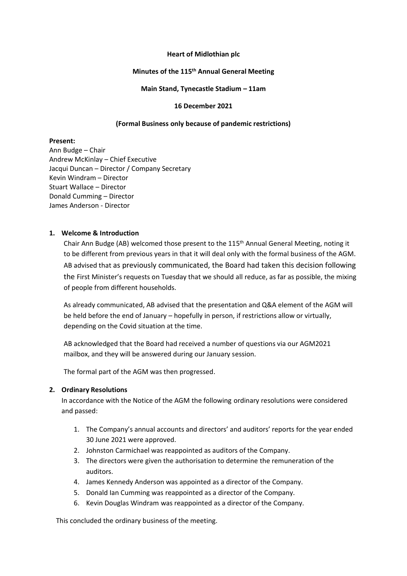#### **Heart of Midlothian plc**

# **Minutes of the 115 th Annual General Meeting**

### **Main Stand, Tynecastle Stadium – 11am**

#### **16 December 2021**

# **(Formal Business only because of pandemic restrictions)**

# **Present:**

Ann Budge – Chair Andrew McKinlay – Chief Executive Jacqui Duncan – Director / Company Secretary Kevin Windram – Director Stuart Wallace – Director Donald Cumming – Director James Anderson - Director

# **1. Welcome & Introduction**

Chair Ann Budge (AB) welcomed those present to the 115<sup>th</sup> Annual General Meeting, noting it to be different from previous years in that it will deal only with the formal business of the AGM. AB advised that as previously communicated, the Board had taken this decision following the First Minister's requests on Tuesday that we should all reduce, as far as possible, the mixing of people from different households.

As already communicated, AB advised that the presentation and Q&A element of the AGM will be held before the end of January – hopefully in person, if restrictions allow or virtually, depending on the Covid situation at the time.

AB acknowledged that the Board had received a number of questions via our AGM2021 mailbox, and they will be answered during our January session.

The formal part of the AGM was then progressed.

#### **2. Ordinary Resolutions**

In accordance with the Notice of the AGM the following ordinary resolutions were considered and passed:

- 1. The Company's annual accounts and directors' and auditors' reports for the year ended 30 June 2021 were approved.
- 2. Johnston Carmichael was reappointed as auditors of the Company.
- 3. The directors were given the authorisation to determine the remuneration of the auditors.
- 4. James Kennedy Anderson was appointed as a director of the Company.
- 5. Donald Ian Cumming was reappointed as a director of the Company.
- 6. Kevin Douglas Windram was reappointed as a director of the Company.

This concluded the ordinary business of the meeting.